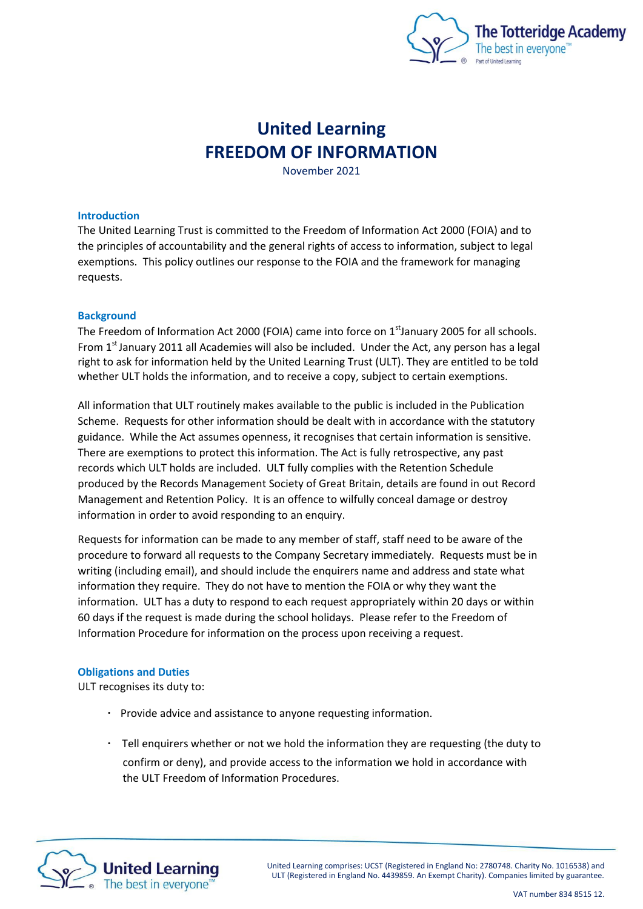

# **United Learning FREEDOM OF INFORMATION**

November 2021

# **Introduction**

The United Learning Trust is committed to the Freedom of Information Act 2000 (FOIA) and to the principles of accountability and the general rights of access to information, subject to legal exemptions. This policy outlines our response to the FOIA and the framework for managing requests.

# **Background**

The Freedom of Information Act 2000 (FOIA) came into force on 1<sup>st</sup>January 2005 for all schools. From 1<sup>st</sup> January 2011 all Academies will also be included. Under the Act, any person has a legal right to ask for information held by the United Learning Trust (ULT). They are entitled to be told whether ULT holds the information, and to receive a copy, subject to certain exemptions.

All information that ULT routinely makes available to the public is included in the Publication Scheme. Requests for other information should be dealt with in accordance with the statutory guidance. While the Act assumes openness, it recognises that certain information is sensitive. There are exemptions to protect this information. The Act is fully retrospective, any past records which ULT holds are included. ULT fully complies with the Retention Schedule produced by the Records Management Society of Great Britain, details are found in out Record Management and Retention Policy. It is an offence to wilfully conceal damage or destroy information in order to avoid responding to an enquiry.

Requests for information can be made to any member of staff, staff need to be aware of the procedure to forward all requests to the Company Secretary immediately. Requests must be in writing (including email), and should include the enquirers name and address and state what information they require. They do not have to mention the FOIA or why they want the information. ULT has a duty to respond to each request appropriately within 20 days or within 60 days if the request is made during the school holidays. Please refer to the Freedom of Information Procedure for information on the process upon receiving a request.

# **Obligations and Duties**

ULT recognises its duty to:

- Provide advice and assistance to anyone requesting information.
- Tell enquirers whether or not we hold the information they are requesting (the duty to confirm or deny), and provide access to the information we hold in accordance with the ULT Freedom of Information Procedures.

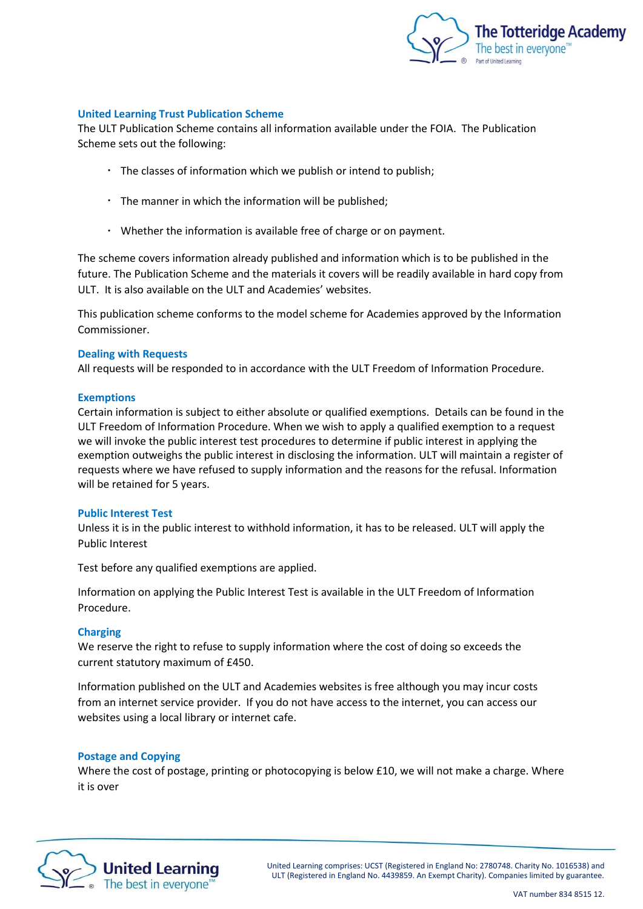

# **United Learning Trust Publication Scheme**

The ULT Publication Scheme contains all information available under the FOIA. The Publication Scheme sets out the following:

- The classes of information which we publish or intend to publish;
- $\cdot$  The manner in which the information will be published;
- Whether the information is available free of charge or on payment.

The scheme covers information already published and information which is to be published in the future. The Publication Scheme and the materials it covers will be readily available in hard copy from ULT. It is also available on the ULT and Academies' websites.

This publication scheme conforms to the model scheme for Academies approved by the Information Commissioner.

# **Dealing with Requests**

All requests will be responded to in accordance with the ULT Freedom of Information Procedure.

# **Exemptions**

Certain information is subject to either absolute or qualified exemptions. Details can be found in the ULT Freedom of Information Procedure. When we wish to apply a qualified exemption to a request we will invoke the public interest test procedures to determine if public interest in applying the exemption outweighs the public interest in disclosing the information. ULT will maintain a register of requests where we have refused to supply information and the reasons for the refusal. Information will be retained for 5 years.

#### **Public Interest Test**

Unless it is in the public interest to withhold information, it has to be released. ULT will apply the Public Interest

Test before any qualified exemptions are applied.

Information on applying the Public Interest Test is available in the ULT Freedom of Information Procedure.

# **Charging**

We reserve the right to refuse to supply information where the cost of doing so exceeds the current statutory maximum of £450.

Information published on the ULT and Academies websites is free although you may incur costs from an internet service provider. If you do not have access to the internet, you can access our websites using a local library or internet cafe.

#### **Postage and Copying**

Where the cost of postage, printing or photocopying is below £10, we will not make a charge. Where it is over

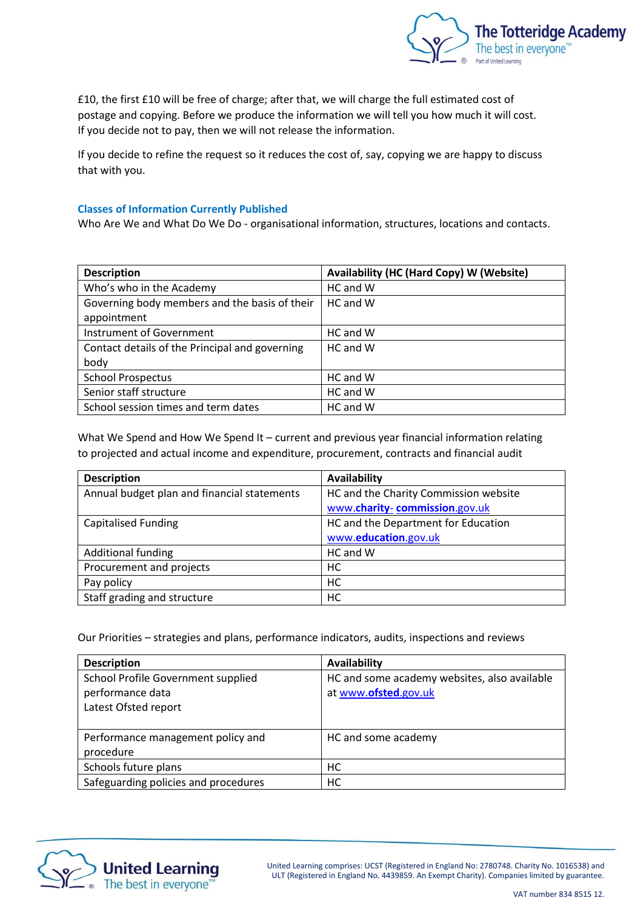

£10, the first £10 will be free of charge; after that, we will charge the full estimated cost of postage and copying. Before we produce the information we will tell you how much it will cost. If you decide not to pay, then we will not release the information.

If you decide to refine the request so it reduces the cost of, say, copying we are happy to discuss that with you.

# **Classes of Information Currently Published**

Who Are We and What Do We Do - organisational information, structures, locations and contacts.

| <b>Description</b>                             | Availability (HC (Hard Copy) W (Website) |
|------------------------------------------------|------------------------------------------|
| Who's who in the Academy                       | HC and W                                 |
| Governing body members and the basis of their  | HC and W                                 |
| appointment                                    |                                          |
| Instrument of Government                       | HC and W                                 |
| Contact details of the Principal and governing | HC and W                                 |
| body                                           |                                          |
| <b>School Prospectus</b>                       | HC and W                                 |
| Senior staff structure                         | HC and W                                 |
| School session times and term dates            | HC and W                                 |

What We Spend and How We Spend It – current and previous year financial information relating to projected and actual income and expenditure, procurement, contracts and financial audit

| <b>Description</b>                          | Availability                          |
|---------------------------------------------|---------------------------------------|
| Annual budget plan and financial statements | HC and the Charity Commission website |
|                                             | www.charity-commission.gov.uk         |
| <b>Capitalised Funding</b>                  | HC and the Department for Education   |
|                                             | www.education.gov.uk                  |
| <b>Additional funding</b>                   | HC and W                              |
| Procurement and projects                    | HC                                    |
| Pay policy                                  | HC                                    |
| Staff grading and structure                 | HC                                    |

Our Priorities – strategies and plans, performance indicators, audits, inspections and reviews

| <b>Description</b>                   | Availability                                 |
|--------------------------------------|----------------------------------------------|
| School Profile Government supplied   | HC and some academy websites, also available |
| performance data                     | at www.ofsted.gov.uk                         |
| Latest Ofsted report                 |                                              |
|                                      |                                              |
| Performance management policy and    | HC and some academy                          |
| procedure                            |                                              |
| Schools future plans                 | НC                                           |
| Safeguarding policies and procedures | HC                                           |

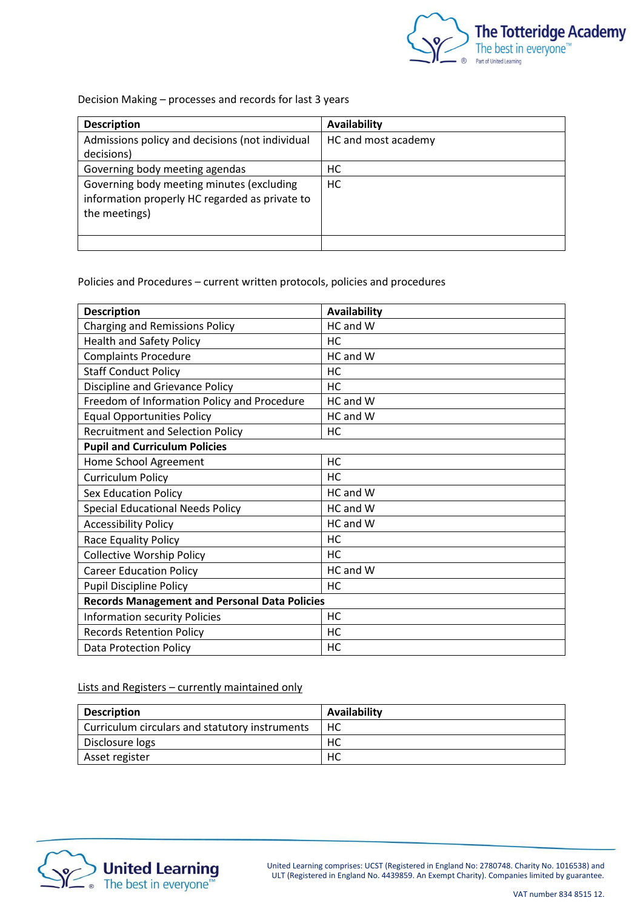

Decision Making – processes and records for last 3 years

| <b>Description</b>                                            | Availability        |
|---------------------------------------------------------------|---------------------|
| Admissions policy and decisions (not individual<br>decisions) | HC and most academy |
|                                                               |                     |
| Governing body meeting agendas                                | НC                  |
| Governing body meeting minutes (excluding                     | HC.                 |
| information properly HC regarded as private to                |                     |
| the meetings)                                                 |                     |
|                                                               |                     |
|                                                               |                     |

Policies and Procedures – current written protocols, policies and procedures

| <b>Description</b>                                   | Availability |
|------------------------------------------------------|--------------|
| <b>Charging and Remissions Policy</b>                | HC and W     |
| <b>Health and Safety Policy</b>                      | HC           |
| <b>Complaints Procedure</b>                          | HC and W     |
| <b>Staff Conduct Policy</b>                          | HC           |
| Discipline and Grievance Policy                      | HC           |
| Freedom of Information Policy and Procedure          | HC and W     |
| <b>Equal Opportunities Policy</b>                    | HC and W     |
| <b>Recruitment and Selection Policy</b>              | HC           |
| <b>Pupil and Curriculum Policies</b>                 |              |
| Home School Agreement                                | HC           |
| <b>Curriculum Policy</b>                             | <b>HC</b>    |
| <b>Sex Education Policy</b>                          | HC and W     |
| <b>Special Educational Needs Policy</b>              | HC and W     |
| <b>Accessibility Policy</b>                          | HC and W     |
| Race Equality Policy                                 | HC.          |
| <b>Collective Worship Policy</b>                     | HC           |
| <b>Career Education Policy</b>                       | HC and W     |
| <b>Pupil Discipline Policy</b>                       | HC           |
| <b>Records Management and Personal Data Policies</b> |              |
| <b>Information security Policies</b>                 | HC           |
| <b>Records Retention Policy</b>                      | HC           |
| <b>Data Protection Policy</b>                        | <b>HC</b>    |

# Lists and Registers – currently maintained only

| <b>Description</b>                             | Availability |
|------------------------------------------------|--------------|
| Curriculum circulars and statutory instruments | НC           |
| Disclosure logs                                | НC           |
| Asset register                                 | HC           |